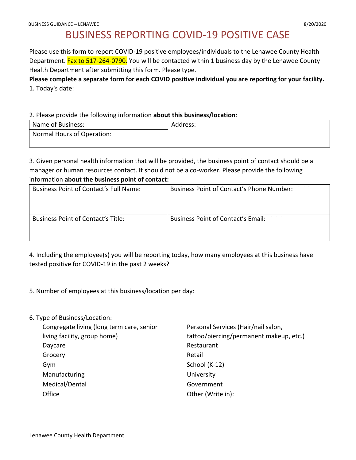# BUSINESS REPORTING COVID-19 POSITIVE CASE

Please use this form to report COVID-19 positive employees/individuals to the Lenawee County Health Department. Fax to 517-264-0790. You will be contacted within 1 business day by the Lenawee County Health Department after submitting this form. Please type.

**Please complete a separate form for each COVID positive individual you are reporting for your facility.** 1. Today's date:

2. Please provide the following information **about this business/location**:

3. Given personal health information that will be provided, the business point of contact should be a manager or human resources contact. It should not be a co-worker. Please provide the following information **about the business point of contact:**

| <b>Business Point of Contact's Full Name:</b> | Business Point of Contact's Phone Number: |
|-----------------------------------------------|-------------------------------------------|
| Business Point of Contact's Title:            | <b>Business Point of Contact's Email:</b> |

4. Including the employee(s) you will be reporting today, how many employees at this business have tested positive for COVID-19 in the past 2 weeks?

5. Number of employees at this business/location per day:

6. Type of Business/Location:

| Congregate living (long term care, senior | Personal Services (Hair/nail salon,     |
|-------------------------------------------|-----------------------------------------|
| living facility, group home)              | tattoo/piercing/permanent makeup, etc.) |
| Daycare                                   | Restaurant                              |
| Grocery                                   | Retail                                  |
| Gym                                       | School (K-12)                           |
| Manufacturing                             | University                              |
| Medical/Dental                            | Government                              |
| Office                                    | Other (Write in):                       |
|                                           |                                         |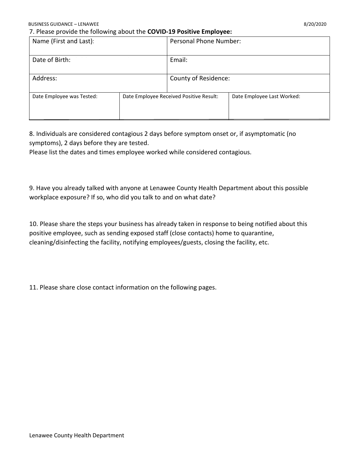7. Please provide the following about the **COVID-19 Positive Employee:**

| Name (First and Last):    |                                         | Personal Phone Number: |                            |
|---------------------------|-----------------------------------------|------------------------|----------------------------|
| Date of Birth:            |                                         | Email:                 |                            |
| Address:                  |                                         | County of Residence:   |                            |
| Date Employee was Tested: | Date Employee Received Positive Result: |                        | Date Employee Last Worked: |

8. Individuals are considered contagious 2 days before symptom onset or, if asymptomatic (no symptoms), 2 days before they are tested.

Please list the dates and times employee worked while considered contagious.

9. Have you already talked with anyone at Lenawee County Health Department about this possible workplace exposure? If so, who did you talk to and on what date?

10. Please share the steps your business has already taken in response to being notified about this positive employee, such as sending exposed staff (close contacts) home to quarantine, cleaning/disinfecting the facility, notifying employees/guests, closing the facility, etc.

11. Please share close contact information on the following pages.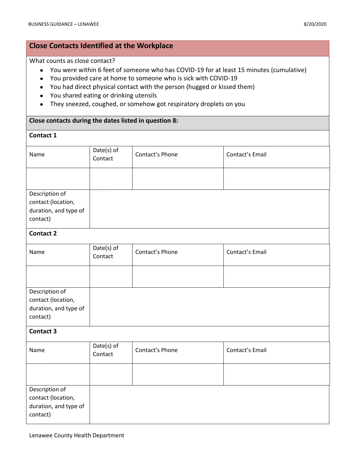## **Close Contacts Identified at the Workplace**

#### What counts as close contact?

- You were within 6 feet of someone who has COVID-19 for at least 15 minutes (cumulative)
- You provided care at home to someone who is sick with COVID-19
- You had direct physical contact with the person (hugged or kissed them)
- You shared eating or drinking utensils
- They sneezed, coughed, or somehow got respiratory droplets on you

#### **Close contacts during the dates listed in question 8:**

### **Contact 1**

| Name                                                                      | Date(s) of<br>Contact | Contact's Phone | Contact's Email |
|---------------------------------------------------------------------------|-----------------------|-----------------|-----------------|
|                                                                           |                       |                 |                 |
| Description of<br>contact (location,<br>duration, and type of<br>contact) |                       |                 |                 |
| <b>Contact 2</b>                                                          |                       |                 |                 |
| Name                                                                      | Date(s) of<br>Contact | Contact's Phone | Contact's Email |
|                                                                           |                       |                 |                 |
| Description of<br>contact (location,<br>duration, and type of<br>contact) |                       |                 |                 |
| <b>Contact 3</b>                                                          |                       |                 |                 |
| Name                                                                      | Date(s) of<br>Contact | Contact's Phone | Contact's Email |
|                                                                           |                       |                 |                 |
| Description of<br>contact (location,<br>duration, and type of<br>contact) |                       |                 |                 |